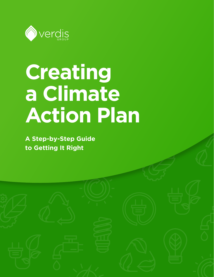

# **Creating a Climate Action Plan**

**A Step-by-Step Guide to Getting It Right**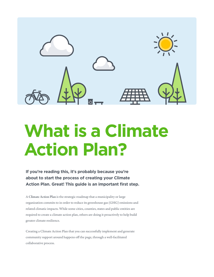

# **What is a Climate Action Plan?**

**If you're reading this, it's probably because you're about to start the process of creating your Climate Action Plan. Great! This guide is an important first step.**

A Climate Action Plan is the strategic roadmap that a municipality or large organization commits to in order to reduce its greenhouse gas (GHG) emissions and related climatic impacts. While some cities, counties, states and public entities are required to create a climate action plan, others are doing it proactively to help build greater climate resilience.

Creating a Climate Action Plan that you can successfully implement and generate community support around happens off the page, through a well-facilitated collaborative process.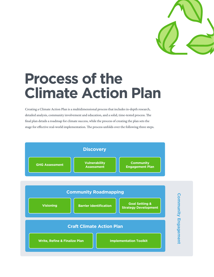

# **Process of the Climate Action Plan**

Creating a Climate Action Plan is a multidimensional process that includes in-depth research, detailed analysis, community involvement and education, and a solid, time-tested process. The final plan details a roadmap for climate success, while the process of creating the plan sets the stage for effective real-world implementation. The process unfolds over the following three steps.

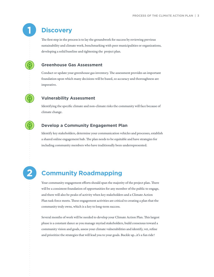### **Discovery**

The first step in the process is to lay the groundwork for success by reviewing previous sustainability and climate work, benchmarking with peer municipalities or organizations, developing a solid baseline and tightening the project plan.

#### **Greenhouse Gas Assessment**

Conduct or update your greenhouse gas inventory. The assessment provides an important foundation upon which many decisions will be based, so accuracy and thoroughness are imperative.

#### **Vulnerability Assessment**

Identifying the specific climate and non-climate risks the community will face because of climate change.

#### **Develop a Community Engagement Plan**

Identify key stakeholders, determine your communication vehicles and processes, establish a shared online engagement hub. The plan needs to be equitable and have strategies for including community members who have traditionally been underrepresented.

## **Community Roadmapping**

Your community engagement efforts should span the majority of the project plan. There will be a consistent foundation of opportunities for any member of the public to engage, and there will also be peaks of activity when key stakeholders and a Climate Action Plan task force meets. These engagement activities are critical to creating a plan that the community truly owns, which is a key to long-term success.

Several months of work will be needed to develop your Climate Action Plan. This largest phase is a constant dance as you manage myriad stakeholders, build consensus toward a community vision and goals, assess your climate vulnerabilities and identify, vet, refine and prioritize the strategies that will lead you to your goals. Buckle up...it's a fun ride!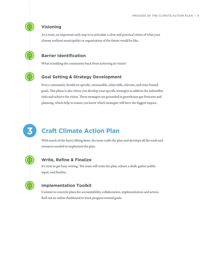#### **Visioning**

 $\bigcirc$ 

As a team, an important early step is to articulate a clear and practical vision of what your climate resilient municipality or organization of the future would be like.

#### **Barrier Identification**

What is holding the community back from achieving its vision?

#### **Goal Setting & Strategy Development**

Every community should set specific, measurable, achievable, relevant, and time-bound goals. This phase is also where you develop your specific strategies to address the indentifies risks and achieve the vision. These strategies are grounded in greenhouse gas forecasts and planning, which help to ensure you know which strategies will have the biggest impact.

# **Craft Climate Action Plan**

With much of the heavy lifting done, the team crafts the plan and develops all the tools and resources needed to implement the plan.

#### **Write, Refine & Finalize**

It's time to get busy writing. The team will write the plan, release a draft, gather public input, and finalize.

#### **Implementation Toolkit**

Commit to concrete plans for accountability, collaboration, implementation and action. Roll out an online dashboard to track progress toward goals.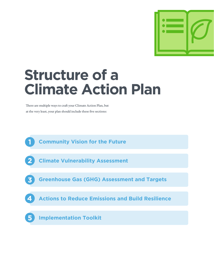

# **Structure of a Climate Action Plan**

There are multiple ways to craft your Climate Action Plan, but at the very least, your plan should include these five sections:

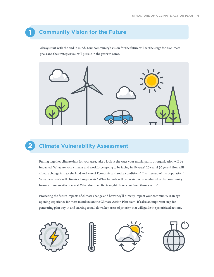## **Community Vision for the Future**

Always start with the end in mind. Your community's vision for the future will set the stage for its climate goals and the strategies you will pursue in the years to come.



# **Climate Vulnerability Assessment**

Pulling together climate data for your area, take a look at the ways your municipality or organization will be impacted. What are your citizens and workforces going to be facing in 10 years? 20 years? 50 years? How will climate change impact the land and water? Economic and social conditions? The makeup of the population? What new needs will climate change create? What hazards will be created or exacerbated in the community from extreme weather events? What domino effects might then occur from those events?

Projecting the future impacts of climate change and how they'll directly impact your community is an eyeopening experience for most members on the Climate Action Plan team. It's also an important step for generating plan buy-in and starting to nail down key areas of priority that will guide the prioritized actions.







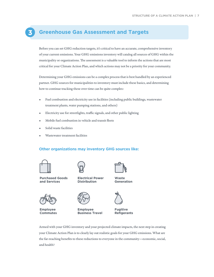### **Greenhouse Gas Assessment and Targets**

Before you can set GHG reduction targets, it's critical to have an accurate, comprehensive inventory of your current emissions. Your GHG emissions inventory will catalog all sources of GHG within the municipality or organizations. The assessment is a valuable tool to inform the actions that are most critical for your Climate Action Plan, and which actions may not be a priority for your community.

Determining your GHG emissions can be a complex process that is best handled by an experienced partner. GHG sources for municipalities to inventory must include these basics, and determining how to continue tracking these over time can be quite complex:

- Fuel combustion and electricity use in facilities (including public buildings, wastewater treatment plants, water pumping stations, and others)
- Electricity use for streetlights, traffic signals, and other public lighting
- Mobile fuel combustion in vehicle and transit fleets
- Solid waste facilities
- Wastewater treatment facilities

#### **Other organizations may inventory GHG sources like:**



**Purchased Goods and Services**



**Employee Commutes**



**Electrical Power Distribution**



**Generation**



**Employee Business Travel**



**Fugitive Refigerants**

Armed with your GHG inventory and your projected climate impacts, the next step in creating your Climate Action Plan is to clearly lay out realistic goals for your GHG emissions. What are the far-reaching benefits to these reductions to everyone in the community—economic, social, and health?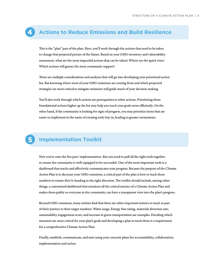#### **Actions to Reduce Emissions and Build Resilience**

This is the "plan" part of the plan. Here, you'll work through the actions that need to be taken to change that projected picture of the future. Based on your GHG inventory and vulnerability assessment, what are the most impactful actions that can be taken? Where are the quick wins? Which actions will garner the most community support?

There are multiple considerations and analyses that will go into developing your prioritized action list. But knowing where most of your GHG emissions are coming from and which projected strategies are most critical to mitigate emissions will guide much of your decision making.

You'll also work through which actions are prerequisites to other actions. Prioritizing those foundational actions higher up the list may help you reach your goals more efficiently. On the other hand, if the community is looking for signs of progress, you may prioritize items that are easier to implement in the name of creating early buy-in, leading to greater momentum.

## **Implementation Toolkit**

Now you're onto the fun part: implementation. But you need to pull all the right tools together to ensure the community is well-equipped to be successful. One of the most important tools is a dashboard that tracks and effectively communicates your progress. Because the purpose of the Climate Action Plan is to decrease your GHG emissions, a critical part of the plan is how to track those numbers to ensure they're heading in the right direction. The toolkit should include, among other things, a customized dashboard that monitors all the critical metrics of a Climate Action Plan and makes them public so everyone in the community can have a transparent view into the plan's progress.

Beyond GHG emissions, many entities find that there are other important metrics to track as part of their journey to their target numbers. Water usage, Energy Star rating, materials diversion rate, sustainability engagement score, and increase in green transportation are examples. Deciding which measures are most critical for your plan's goals and developing a plan to track them is a requirement for a comprehensive Climate Action Plan.

Finally, establish, communicate, and start using your concrete plans for accountability, collaboration, implementation and action.